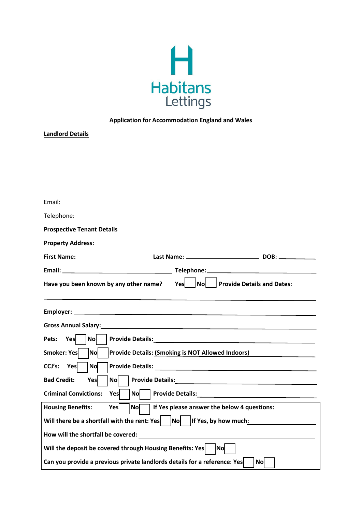

## **Application for Accommodation England and Wales**

| <b>Landlord Details</b>                                                                                        |  |
|----------------------------------------------------------------------------------------------------------------|--|
|                                                                                                                |  |
|                                                                                                                |  |
|                                                                                                                |  |
|                                                                                                                |  |
|                                                                                                                |  |
| Email:                                                                                                         |  |
| Telephone:                                                                                                     |  |
| <b>Prospective Tenant Details</b>                                                                              |  |
| <b>Property Address:</b>                                                                                       |  |
|                                                                                                                |  |
|                                                                                                                |  |
| Nol<br><b>Provide Details and Dates:</b><br>Have you been known by any other name?<br>Yes                      |  |
|                                                                                                                |  |
|                                                                                                                |  |
| Gross Annual Salary: 1988 and 2008 and 2008 and 2008 and 2008 and 2008 and 2008 and 2008 and 2008 and 2008 and |  |
| Yes<br>Pets:<br><b>No</b>                                                                                      |  |
| Smoker: Yes<br> No                                                                                             |  |
| Provide Details: (Smoking is NOT Allowed Indoors)                                                              |  |
| Yes<br>CCJ's:<br><b>No</b>                                                                                     |  |
| <b>Bad Credit:</b><br>Yes<br><b>No</b><br><b>Provide Details:</b> Provide Details:                             |  |
| <b>Criminal Convictions:</b><br>Yes<br>$Nol$                                                                   |  |
| If Yes please answer the below 4 questions:<br><b>Housing Benefits:</b><br><b>No</b><br>Yes                    |  |
| Will there be a shortfall with the rent: Yes<br>If Yes, by how much:<br>No                                     |  |
| How will the shortfall be covered:                                                                             |  |
| Will the deposit be covered through Housing Benefits: Yes<br><b>No</b>                                         |  |
| Can you provide a previous private landlords details for a reference: Yes<br> No                               |  |